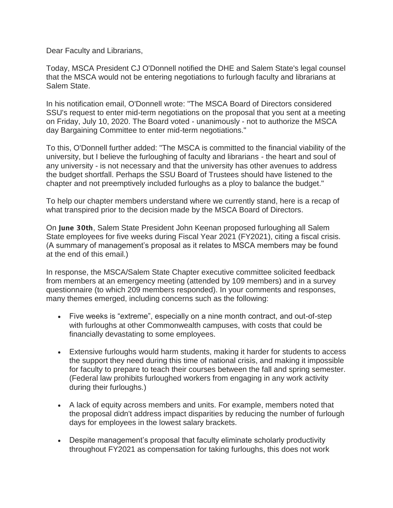Dear Faculty and Librarians,

Today, MSCA President CJ O'Donnell notified the DHE and Salem State's legal counsel that the MSCA would not be entering negotiations to furlough faculty and librarians at Salem State.

In his notification email, O'Donnell wrote: "The MSCA Board of Directors considered SSU's request to enter mid-term negotiations on the proposal that you sent at a meeting on Friday, July 10, 2020. The Board voted - unanimously - not to authorize the MSCA day Bargaining Committee to enter mid-term negotiations."

To this, O'Donnell further added: "The MSCA is committed to the financial viability of the university, but I believe the furloughing of faculty and librarians - the heart and soul of any university - is not necessary and that the university has other avenues to address the budget shortfall. Perhaps the SSU Board of Trustees should have listened to the chapter and not preemptively included furloughs as a ploy to balance the budget."

To help our chapter members understand where we currently stand, here is a recap of what transpired prior to the decision made by the MSCA Board of Directors.

On June 30th, Salem State President John Keenan proposed furloughing all Salem State employees for five weeks during Fiscal Year 2021 (FY2021), citing a fiscal crisis. (A summary of management's proposal as it relates to MSCA members may be found at the end of this email.)

In response, the MSCA/Salem State Chapter executive committee solicited feedback from members at an emergency meeting (attended by 109 members) and in a survey questionnaire (to which 209 members responded). In your comments and responses, many themes emerged, including concerns such as the following:

- Five weeks is "extreme", especially on a nine month contract, and out-of-step with furloughs at other Commonwealth campuses, with costs that could be financially devastating to some employees.
- Extensive furloughs would harm students, making it harder for students to access the support they need during this time of national crisis, and making it impossible for faculty to prepare to teach their courses between the fall and spring semester. (Federal law prohibits furloughed workers from engaging in any work activity during their furloughs.)
- A lack of equity across members and units. For example, members noted that the proposal didn't address impact disparities by reducing the number of furlough days for employees in the lowest salary brackets.
- Despite management's proposal that faculty eliminate scholarly productivity throughout FY2021 as compensation for taking furloughs, this does not work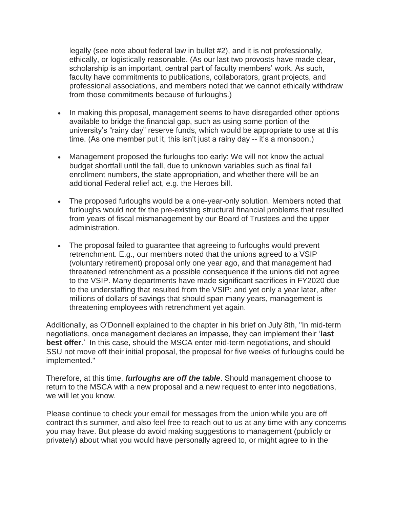legally (see note about federal law in bullet #2), and it is not professionally, ethically, or logistically reasonable. (As our last two provosts have made clear, scholarship is an important, central part of faculty members' work. As such, faculty have commitments to publications, collaborators, grant projects, and professional associations, and members noted that we cannot ethically withdraw from those commitments because of furloughs.)

- In making this proposal, management seems to have disregarded other options available to bridge the financial gap, such as using some portion of the university's "rainy day" reserve funds, which would be appropriate to use at this time. (As one member put it, this isn't just a rainy day -- it's a monsoon.)
- Management proposed the furloughs too early: We will not know the actual budget shortfall until the fall, due to unknown variables such as final fall enrollment numbers, the state appropriation, and whether there will be an additional Federal relief act, e.g. the Heroes bill.
- The proposed furloughs would be a one-year-only solution. Members noted that furloughs would not fix the pre-existing structural financial problems that resulted from years of fiscal mismanagement by our Board of Trustees and the upper administration.
- The proposal failed to guarantee that agreeing to furloughs would prevent retrenchment. E.g., our members noted that the unions agreed to a VSIP (voluntary retirement) proposal only one year ago, and that management had threatened retrenchment as a possible consequence if the unions did not agree to the VSIP. Many departments have made significant sacrifices in FY2020 due to the understaffing that resulted from the VSIP; and yet only a year later, after millions of dollars of savings that should span many years, management is threatening employees with retrenchment yet again.

Additionally, as O'Donnell explained to the chapter in his brief on July 8th, "In mid-term negotiations, once management declares an impasse, they can implement their '**last best offer**.' In this case, should the MSCA enter mid-term negotiations, and should SSU not move off their initial proposal, the proposal for five weeks of furloughs could be implemented."

Therefore, at this time, *furloughs are off the table*. Should management choose to return to the MSCA with a new proposal and a new request to enter into negotiations, we will let you know.

Please continue to check your email for messages from the union while you are off contract this summer, and also feel free to reach out to us at any time with any concerns you may have. But please do avoid making suggestions to management (publicly or privately) about what you would have personally agreed to, or might agree to in the